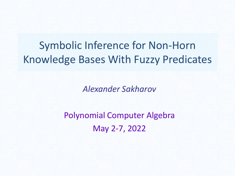#### Symbolic Inference for Non-Horn Knowledge Bases With Fuzzy Predicates

*Alexander Sakharov*

Polynomial Computer Algebra May 2-7, 2022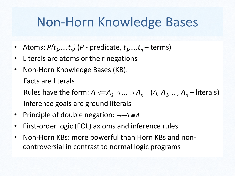#### Non-Horn Knowledge Bases

- Atoms:  $P(t_1,...,t_n)$  (P predicate,  $t_1,...,t_n$  terms)
- Literals are atoms or their negations
- Non-Horn Knowledge Bases (KB): Facts are literals

Rules have the form:  $A \leftarrow A_1 \land ... \land A_n \quad (A, A_1, ..., A_n$  – literals) Inference goals are ground literals

- Principle of double negation:  $\neg\neg A \equiv A$
- First-order logic (FOL) axioms and inference rules
- Non-Horn KBs: more powerful than Horn KBs and noncontroversial in contrast to normal logic programs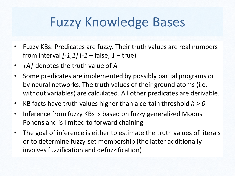#### Fuzzy Knowledge Bases

- Fuzzy KBs: Predicates are fuzzy. Their truth values are real numbers from interval *[-1,1]* (*-1* – false, *1* – true)
- *|A|* denotes the truth value of *A*
- Some predicates are implemented by possibly partial programs or by neural networks. The truth values of their ground atoms (i.e. without variables) are calculated. All other predicates are derivable.
- KB facts have truth values higher than a certain threshold *h > 0*
- Inference from fuzzy KBs is based on fuzzy generalized Modus Ponens and is limited to forward chaining
- The goal of inference is either to estimate the truth values of literals or to determine fuzzy-set membership (the latter additionally involves fuzzification and defuzzification)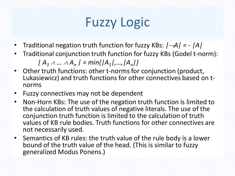# Fuzzy Logic

- Traditional negation truth function for fuzzy KBs:  $/ \rightarrow A / = /A /$
- Traditional conjunction truth function for fuzzy KBs (Godel t-norm):

 $|A_1 \wedge ... \wedge A_n| = min\{|A_1|, ..., |A_n|\}$ 

- Other truth functions: other t-norms for conjunction (product, Lukasiewicz) and truth functions for other connectives based on tnorms
- Fuzzy connectives may not be dependent
- Non-Horn KBs: The use of the negation truth function is limited to the calculation of truth values of negative literals. The use of the conjunction truth function is limited to the calculation of truth values of KB rule bodies. Truth functions for other connectives are not necessarily used.
- Semantics of KB rules: the truth value of the rule body is a lower bound of the truth value of the head. (This is similar to fuzzy generalized Modus Ponens.)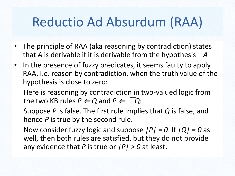## Reductio Ad Absurdum (RAA)

- The principle of RAA (aka reasoning by contradiction) states that *A* is derivable if it is derivable from the hypothesis *A*
- In the presence of fuzzy predicates, it seems faulty to apply RAA, i.e. reason by contradiction, when the truth value of the hypothesis is close to zero:

Here is reasoning by contradiction in two-valued logic from the two KB rules  $P \leftarrow Q$  and  $P \leftarrow \neg Q$ :

Suppose *P* is false. The first rule implies that *Q* is false, and hence *P* is true by the second rule.

Now consider fuzzy logic and suppose *|P| = 0*. If *|Q| = 0* as well, then both rules are satisfied, but they do not provide any evidence that *P* is true or *|P| > 0* at least.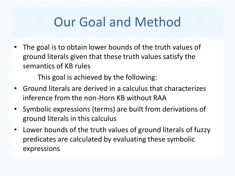## Our Goal and Method

• The goal is to obtain lower bounds of the truth values of ground literals given that these truth values satisfy the semantics of KB rules

This goal is achieved by the following:

- Ground literals are derived in a calculus that characterizes inference from the non-Horn KB without RAA
- Symbolic expressions (terms) are built from derivations of ground literals in this calculus
- Lower bounds of the truth values of ground literals of fuzzy predicates are calculated by evaluating these symbolic expressions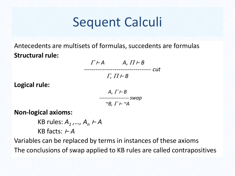#### Sequent Calculi

Antecedents are multisets of formulas, succedents are formulas **Structural rule:**

| $\Gamma \vdash A$                | A, $\Pi \vdash B$ |
|----------------------------------|-------------------|
| $\Gamma$ , $\Pi$ $\vdash$ $B$    | cut               |
| A, $\Gamma \vdash B$             |                   |
| $\sim$ B, $\Gamma \vdash \sim$ A |                   |

**Non-logical axioms:** 

**Logical rule:**

KB rules: *A<sup>1</sup> ,…, A<sup>n</sup>* <sup>⊢</sup> *A*  KB facts: <sup>⊢</sup> *A* 

Variables can be replaced by terms in instances of these axioms The conclusions of swap applied to KB rules are called contrapositives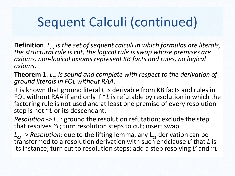# Sequent Calculi (continued)

**Definition**. *Lcs is the set of sequent calculi in which formulas are literals, the structural rule is cut, the logical rule is swap whose premises are axioms, non-logical axioms represent KB facts and rules, no logical axioms.*

**Theorem 1**. *Lcs is sound and complete with respect to the derivation of ground literals in FOL without RAA.*

It is known that ground literal *L* is derivable from KB facts and rules in FOL without RAA if and only if *~L* is refutable by resolution in which the factoring rule is not used and at least one premise of every resolution step is not *~L* or its descendant.

*Resolution -> Lcs:* ground the resolution refutation; exclude the step that resolves *~L*; turn resolution steps to cut; insert swap

 $L_{cs}$  -> Resolution: due to the lifting lemma, any L<sub>cs</sub> derivation can be transformed to a resolution derivation with such endclause *L'* that *L* is its instance; turn cut to resolution steps; add a step resolving *L'* and *~L*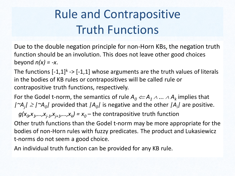### Rule and Contrapositive Truth Functions

Due to the double negation principle for non-Horn KBs, the negation truth function should be an involution. This does not leave other good choices beyond  $n(x) = -x$ .

The functions  $[-1,1]^k \rightarrow [-1,1]$  whose arguments are the truth values of literals in the bodies of KB rules or contrapositives will be called rule or contrapositive truth functions, respectively.

For the Godel t-norm, the semantics of rule  $A_0 \leftarrow A_1 \wedge ... \wedge A_k$  implies that  $/$ <sup> $\sim$ </sup>A<sub>*j</sub>* $/$   $\ge$   $/$  $\sim$ A<sub>*0</sub>* $/$  provided that  $/$ A<sub>*0</sub>* $/$  is negative and the other  $/$ A<sub>*i*</sub> $/$  are positive.</sub></sub></sub>

 $g(x_0, x_1, \ldots, x_{j-1}, x_{j+1}, \ldots, x_k) = x_0$  – the contrapositive truth function

Other truth functions than the Godel t-norm may be more appropriate for the bodies of non-Horn rules with fuzzy predicates. The product and Lukasiewicz t-norms do not seem a good choice.

An individual truth function can be provided for any KB rule.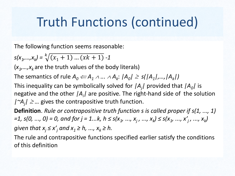## Truth Functions (continued)

The following function seems reasonable:

$$
s(x_1,...,x_k) = \sqrt[k]{(x_1+1)...(xk+1)} - 1
$$

( $x_1$ , ..., $x_k$  are the truth values of the body literals)

The semantics of rule  $A_0 \leftarrow\!\!\!\!\!\!\! A_1 \wedge ... \wedge A_k \!\!: |\!A_0|\geq \mathsf{s}(|A_1|,...,|A_k|)$ 

This inequality can be symbolically solved for *|A<sup>j</sup> |* provided that *|A<sup>0</sup> |* is negative and the other *|A<sup>i</sup> |* are positive. The right-hand side of the solution  $/$ <sup> $\sim$ </sup> $A_j$  $/$   $\geq$  ... gives the contrapositive truth function.

**Definition**. *Rule or contrapositive truth function s is called proper if s(1, ..., 1) =1, s(0, ..., 0) = 0, and for j = 1...k, h ≤ s(x<sup>1</sup> , ..., x<sup>j</sup> , ..., x<sup>k</sup> ) ≤ s(x<sup>1</sup> , ..., x′<sup>j</sup> , ..., x<sup>k</sup> ) given that*  $x_i \le x'_i$  *and*  $x_1 \ge h$ *, ...,*  $x_k \ge h$ *.* 

The rule and contrapositive functions specified earlier satisfy the conditions of this definition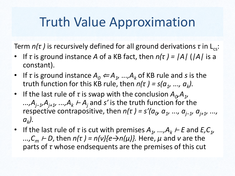#### Truth Value Approximation

Term *n(τ)* is recursively defined for all ground derivations *τ* in L<sub>cs</sub>:

- If *τ* is ground instance *A* of a KB fact, then *n(τ ) = |A|* (*|A|* is a constant).
- If *τ* is ground instance  $A_0 \leftarrow A_1, ..., A_k$  of KB rule and *s* is the truth function for this KB rule, then  $n(\tau) = s(a_1, ..., a_k)$ .
- If the last rule of *τ* is swap with the conclusion  $A_{\rho}A_{\nu}$ *...,Aj−1,Aj+1, ...,A<sup>k</sup>* <sup>⊢</sup> *A<sup>j</sup>* and *s′* is the truth function for the *respective contrapositive, then*  $n(\tau) = s'(a_0, a_1, ..., a_{j-1}, a_{j+1}, ...,$ *ak ).*
- If the last rule of *τ* is cut with premises  $A_1$ , ..., $A_k$  ⊢ *E* and *E*,  $C_1$ , *...,C<sup>m</sup>* <sup>⊢</sup> *D*, then *n(τ ) = n(ν){e→n(μ)}.* Here, *μ* and *ν* are the parts of *τ* whose endsequents are the premises of this cut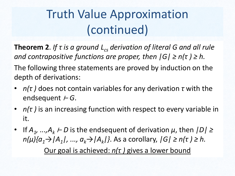#### Truth Value Approximation (continued)

**Theorem 2**. *If τ is a ground Lcs derivation of literal G and all rule and contrapositive functions are proper, then*  $|G| \ge n(\tau) \ge h$ *.* 

The following three statements are proved by induction on the depth of derivations:

- *n(τ )* does not contain variables for any derivation *τ* with the endsequent <sup>⊢</sup> *G*.
- *n(τ )* is an increasing function with respect to every variable in it.
- If *A<sup>1</sup> , ...,A<sup>k</sup>* <sup>⊢</sup> *D* is the endsequent of derivation *μ*, then *|D| ≥ n(μ){a1→|A<sup>1</sup> |, ..., ak→|A<sup>k</sup> |}*. As a corollary, *|G| ≥ n(τ ) ≥ h.* Our goal is achieved: *n(τ )* gives a lower bound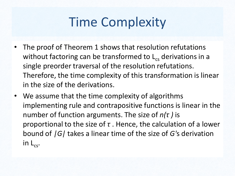## Time Complexity

- The proof of Theorem 1 shows that resolution refutations without factoring can be transformed to  $L_{cs}$  derivations in a single preorder traversal of the resolution refutations. Therefore, the time complexity of this transformation is linear in the size of the derivations.
- We assume that the time complexity of algorithms implementing rule and contrapositive functions is linear in the number of function arguments. The size of *n(τ )* is proportional to the size of *τ* . Hence, the calculation of a lower bound of *|G|* takes a linear time of the size of *G'*s derivation in  $L_{cS}$ .